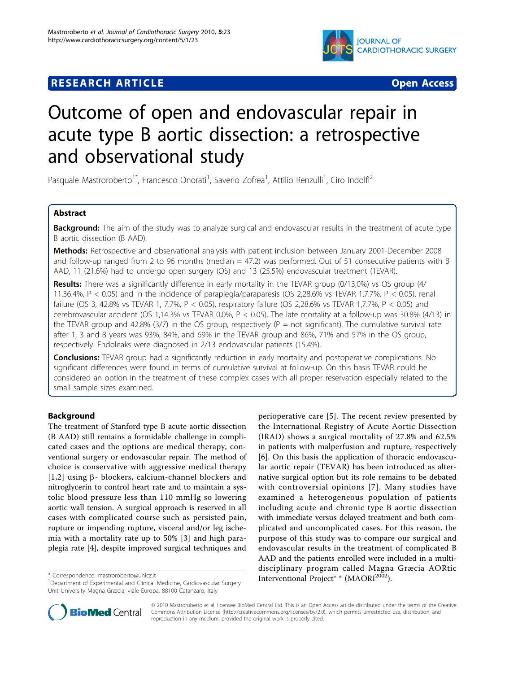# **RESEARCH ARTICLE Example 2018 12:30 The Contract of Contract ACCESS**



# Outcome of open and endovascular repair in acute type B aortic dissection: a retrospective and observational study

Pasquale Mastroroberto<sup>1\*</sup>, Francesco Onorati<sup>1</sup>, Saverio Zofrea<sup>1</sup>, Attilio Renzulli<sup>1</sup>, Ciro Indolfi<sup>2</sup>

# Abstract

Background: The aim of the study was to analyze surgical and endovascular results in the treatment of acute type B aortic dissection (B AAD).

Methods: Retrospective and observational analysis with patient inclusion between January 2001-December 2008 and follow-up ranged from 2 to 96 months (median  $=$  47.2) was performed. Out of 51 consecutive patients with B AAD, 11 (21.6%) had to undergo open surgery (OS) and 13 (25.5%) endovascular treatment (TEVAR).

Results: There was a significantly difference in early mortality in the TEVAR group (0/13,0%) vs OS group (4/ 11,36.4%, P < 0.05) and in the incidence of paraplegia/paraparesis (OS 2,28.6% vs TEVAR 1,7.7%, P < 0.05), renal failure (OS 3, 42.8% vs TEVAR 1, 7.7%, P < 0.05), respiratory failure (OS 2,28.6% vs TEVAR 1,7.7%, P < 0.05) and cerebrovascular accident (OS 1,14.3% vs TEVAR 0,0%, P < 0.05). The late mortality at a follow-up was 30.8% (4/13) in the TEVAR group and 42.8% (3/7) in the OS group, respectively ( $P = not$  significant). The cumulative survival rate after 1, 3 and 8 years was 93%, 84%, and 69% in the TEVAR group and 86%, 71% and 57% in the OS group, respectively. Endoleaks were diagnosed in 2/13 endovascular patients (15.4%).

**Conclusions:** TEVAR group had a significantly reduction in early mortality and postoperative complications. No significant differences were found in terms of cumulative survival at follow-up. On this basis TEVAR could be considered an option in the treatment of these complex cases with all proper reservation especially related to the small sample sizes examined.

# Background

The treatment of Stanford type B acute aortic dissection (B AAD) still remains a formidable challenge in complicated cases and the options are medical therapy, conventional surgery or endovascular repair. The method of choice is conservative with aggressive medical therapy [[1](#page-6-0),[2\]](#page-6-0) using  $\beta$ - blockers, calcium-channel blockers and nitroglycerin to control heart rate and to maintain a systolic blood pressure less than 110 mmHg so lowering aortic wall tension. A surgical approach is reserved in all cases with complicated course such as persisted pain, rupture or impending rupture, visceral and/or leg ischemia with a mortality rate up to 50% [\[3](#page-6-0)] and high paraplegia rate [[4\]](#page-6-0), despite improved surgical techniques and

<sup>1</sup>Department of Experimental and Clinical Medicine, Cardiovascular Surgery Unit University Magna Græcia, viale Europa, 88100 Catanzaro, Italy

perioperative care [\[5\]](#page-6-0). The recent review presented by the International Registry of Acute Aortic Dissection (IRAD) shows a surgical mortality of 27.8% and 62.5% in patients with malperfusion and rupture, respectively [[6\]](#page-6-0). On this basis the application of thoracic endovascular aortic repair (TEVAR) has been introduced as alternative surgical option but its role remains to be debated with controversial opinions [[7](#page-6-0)]. Many studies have examined a heterogeneous population of patients including acute and chronic type B aortic dissection with immediate versus delayed treatment and both complicated and uncomplicated cases. For this reason, the purpose of this study was to compare our surgical and endovascular results in the treatment of complicated B AAD and the patients enrolled were included in a multidisciplinary program called Magna Græcia AORtic \* Correspondence: [mastroroberto@unicz.it](mailto:mastroroberto@unicz.it)<br><sup>1</sup>Department of Experimental and Clinical Medicine Cardiovascular Surgery **Interventional Project<sup>®</sup> \* (MAORI<sup>2002</sup>).** 



© 2010 Mastroroberto et al; licensee BioMed Central Ltd. This is an Open Access article distributed under the terms of the Creative Commons Attribution License [\(http://creativecommons.org/licenses/by/2.0](http://creativecommons.org/licenses/by/2.0)), which permits unrestricted use, distribution, and reproduction in any medium, provided the original work is properly cited.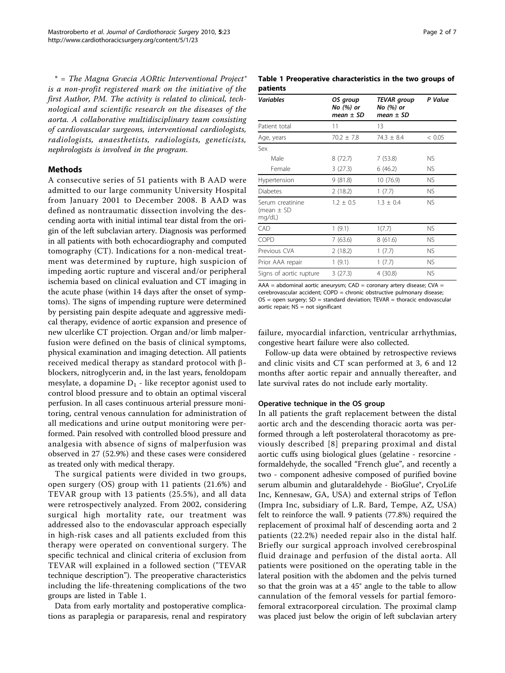<span id="page-1-0"></span> $*$  = The Magna Græcia AORtic Interventional Project<sup>®</sup> is a non-profit registered mark on the initiative of the first Author, PM. The activity is related to clinical, technological and scientific research on the diseases of the aorta. A collaborative multidisciplinary team consisting of cardiovascular surgeons, interventional cardiologists, radiologists, anaesthetists, radiologists, geneticists, nephrologists is involved in the program.

## Methods

A consecutive series of 51 patients with B AAD were admitted to our large community University Hospital from January 2001 to December 2008. B AAD was defined as nontraumatic dissection involving the descending aorta with initial intimal tear distal from the origin of the left subclavian artery. Diagnosis was performed in all patients with both echocardiography and computed tomography (CT). Indications for a non-medical treatment was determined by rupture, high suspicion of impeding aortic rupture and visceral and/or peripheral ischemia based on clinical evaluation and CT imaging in the acute phase (within 14 days after the onset of symptoms). The signs of impending rupture were determined by persisting pain despite adequate and aggressive medical therapy, evidence of aortic expansion and presence of new ulcerlike CT projection. Organ and/or limb malperfusion were defined on the basis of clinical symptoms, physical examination and imaging detection. All patients received medical therapy as standard protocol with  $\beta$ blockers, nitroglycerin and, in the last years, fenoldopam mesylate, a dopamine  $D_1$  - like receptor agonist used to control blood pressure and to obtain an optimal visceral perfusion. In all cases continuous arterial pressure monitoring, central venous cannulation for administration of all medications and urine output monitoring were performed. Pain resolved with controlled blood pressure and analgesia with absence of signs of malperfusion was observed in 27 (52.9%) and these cases were considered as treated only with medical therapy.

The surgical patients were divided in two groups, open surgery (OS) group with 11 patients (21.6%) and TEVAR group with 13 patients (25.5%), and all data were retrospectively analyzed. From 2002, considering surgical high mortality rate, our treatment was addressed also to the endovascular approach especially in high-risk cases and all patients excluded from this therapy were operated on conventional surgery. The specific technical and clinical criteria of exclusion from TEVAR will explained in a followed section ("TEVAR technique description"). The preoperative characteristics including the life-threatening complications of the two groups are listed in Table 1.

Data from early mortality and postoperative complications as paraplegia or paraparesis, renal and respiratory

Table 1 Preoperative characteristics in the two groups of patients

| OS group<br>No (%) or<br>$mean \pm SD$ | <b>TEVAR</b> group<br>No (%) or<br>$mean \pm SD$ | P Value   |
|----------------------------------------|--------------------------------------------------|-----------|
| 11                                     | 13                                               |           |
| $70.2 \pm 7.8$                         | $74.3 \pm 8.4$                                   | < 0.05    |
|                                        |                                                  |           |
| 8(72.7)                                | 7(53.8)                                          | NS.       |
| 3(27.3)                                | 6(46.2)                                          | NS.       |
| 9(81.8)                                | 10 (76.9)                                        | NS.       |
| 2(18.2)                                | 1(7.7)                                           | NS.       |
| $1.2 \pm 0.5$                          | $1.3 \pm 0.4$                                    | <b>NS</b> |
| 1(9.1)                                 | 1(7.7)                                           | NS.       |
| 7(63.6)                                | 8(61.6)                                          | NS.       |
| 2(18.2)                                | 1(7.7)                                           | NS.       |
| 1(9.1)                                 | 1(7.7)                                           | NS.       |
| 3(27.3)                                | 4(30.8)                                          | NS.       |
|                                        |                                                  |           |

 $AAA =$  abdominal aortic aneurysm:  $CAD =$  coronary artery disease:  $CVA =$ cerebrovascular accident; COPD = chronic obstructive pulmonary disease;  $OS =$  open surgery;  $SD =$  standard deviation;  $TEVAR =$  thoracic endovascular aortic repair; NS = not significant

failure, myocardial infarction, ventricular arrhythmias, congestive heart failure were also collected.

Follow-up data were obtained by retrospective reviews and clinic visits and CT scan performed at 3, 6 and 12 months after aortic repair and annually thereafter, and late survival rates do not include early mortality.

### Operative technique in the OS group

In all patients the graft replacement between the distal aortic arch and the descending thoracic aorta was performed through a left posterolateral thoracotomy as previously described [[8\]](#page-6-0) preparing proximal and distal aortic cuffs using biological glues (gelatine - resorcine formaldehyde, the socalled "French glue", and recently a two - component adhesive composed of purified bovine serum albumin and glutaraldehyde - BioGlue®, CryoLife Inc, Kennesaw, GA, USA) and external strips of Teflon (Impra Inc, subsidiary of L.R. Bard, Tempe, AZ, USA) felt to reinforce the wall. 9 patients (77.8%) required the replacement of proximal half of descending aorta and 2 patients (22.2%) needed repair also in the distal half. Briefly our surgical approach involved cerebrospinal fluid drainage and perfusion of the distal aorta. All patients were positioned on the operating table in the lateral position with the abdomen and the pelvis turned so that the groin was at a 45° angle to the table to allow cannulation of the femoral vessels for partial femorofemoral extracorporeal circulation. The proximal clamp was placed just below the origin of left subclavian artery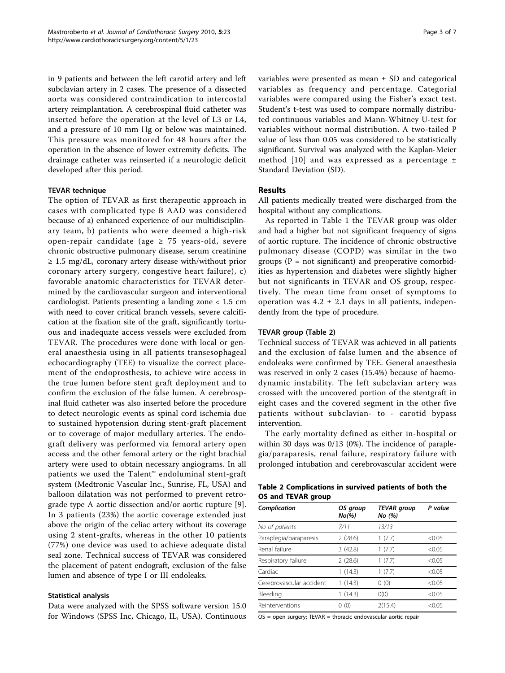<span id="page-2-0"></span>in 9 patients and between the left carotid artery and left subclavian artery in 2 cases. The presence of a dissected aorta was considered contraindication to intercostal artery reimplantation. A cerebrospinal fluid catheter was inserted before the operation at the level of L3 or L4, and a pressure of 10 mm Hg or below was maintained. This pressure was monitored for 48 hours after the operation in the absence of lower extremity deficits. The drainage catheter was reinserted if a neurologic deficit developed after this period.

### TEVAR technique

The option of TEVAR as first therapeutic approach in cases with complicated type B AAD was considered because of a) enhanced experience of our multidisciplinary team, b) patients who were deemed a high-risk open-repair candidate (age  $\geq$  75 years-old, severe chronic obstructive pulmonary disease, serum creatinine ≥ 1.5 mg/dL, coronary artery disease with/without prior coronary artery surgery, congestive heart failure), c) favorable anatomic characteristics for TEVAR determined by the cardiovascular surgeon and interventional cardiologist. Patients presenting a landing zone < 1.5 cm with need to cover critical branch vessels, severe calcification at the fixation site of the graft, significantly tortuous and inadequate access vessels were excluded from TEVAR. The procedures were done with local or general anaesthesia using in all patients transesophageal echocardiography (TEE) to visualize the correct placement of the endoprosthesis, to achieve wire access in the true lumen before stent graft deployment and to confirm the exclusion of the false lumen. A cerebrospinal fluid catheter was also inserted before the procedure to detect neurologic events as spinal cord ischemia due to sustained hypotension during stent-graft placement or to coverage of major medullary arteries. The endograft delivery was performed via femoral artery open access and the other femoral artery or the right brachial artery were used to obtain necessary angiograms. In all patients we used the Talent™ endoluminal stent-graft system (Medtronic Vascular Inc., Sunrise, FL, USA) and balloon dilatation was not performed to prevent retrograde type A aortic dissection and/or aortic rupture [\[9](#page-6-0)]. In 3 patients (23%) the aortic coverage extended just above the origin of the celiac artery without its coverage using 2 stent-grafts, whereas in the other 10 patients (77%) one device was used to achieve adequate distal seal zone. Technical success of TEVAR was considered the placement of patent endograft, exclusion of the false lumen and absence of type I or III endoleaks.

### Statistical analysis

Data were analyzed with the SPSS software version 15.0 for Windows (SPSS Inc, Chicago, IL, USA). Continuous variables were presented as mean  $\pm$  SD and categorical variables as frequency and percentage. Categorial variables were compared using the Fisher's exact test. Student's t-test was used to compare normally distributed continuous variables and Mann-Whitney U-test for variables without normal distribution. A two-tailed P value of less than 0.05 was considered to be statistically significant. Survival was analyzed with the Kaplan-Meier method [[10\]](#page-6-0) and was expressed as a percentage  $\pm$ Standard Deviation (SD).

# Results

All patients medically treated were discharged from the hospital without any complications.

As reported in Table [1](#page-1-0) the TEVAR group was older and had a higher but not significant frequency of signs of aortic rupture. The incidence of chronic obstructive pulmonary disease (COPD) was similar in the two groups ( $P = not significant$ ) and preoperative comorbidities as hypertension and diabetes were slightly higher but not significants in TEVAR and OS group, respectively. The mean time from onset of symptoms to operation was  $4.2 \pm 2.1$  days in all patients, independently from the type of procedure.

# TEVAR group (Table 2)

Technical success of TEVAR was achieved in all patients and the exclusion of false lumen and the absence of endoleaks were confirmed by TEE. General anaesthesia was reserved in only 2 cases (15.4%) because of haemodynamic instability. The left subclavian artery was crossed with the uncovered portion of the stentgraft in eight cases and the covered segment in the other five patients without subclavian- to - carotid bypass intervention.

The early mortality defined as either in-hospital or within 30 days was 0/13 (0%). The incidence of paraplegia/paraparesis, renal failure, respiratory failure with prolonged intubation and cerebrovascular accident were

| Table 2 Complications in survived patients of both the |  |  |
|--------------------------------------------------------|--|--|
| OS and TEVAR group                                     |  |  |

| Complication             | OS group<br>No(%) | <b>TEVAR</b> group<br>No (%) | P value |
|--------------------------|-------------------|------------------------------|---------|
| No of patients           | 7/11              | 13/13                        |         |
| Paraplegia/paraparesis   | 2(28.6)           | 1(7.7)                       | < 0.05  |
| Renal failure            | 3(42.8)           | 1(7.7)                       | < 0.05  |
| Respiratory failure      | 2(28.6)           | 1(7.7)                       | < 0.05  |
| Cardiac                  | 1(14.3)           | 1(7.7)                       | < 0.05  |
| Cerebrovascular accident | 1(14.3)           | 0(0)                         | < 0.05  |
| Bleeding                 | 1(14.3)           | O(0)                         | < 0.05  |
| Reinterventions          | 0(0)              | 2(15.4)                      | < 0.05  |

 $OS =$  open surgery; TEVAR = thoracic endovascular aortic repair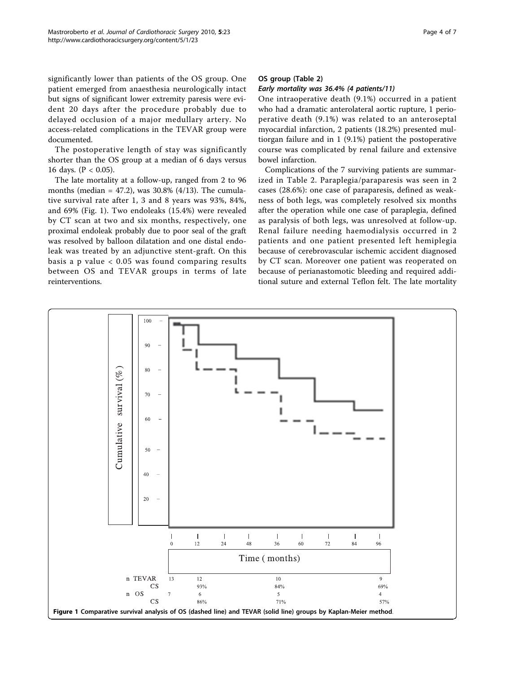<span id="page-3-0"></span>significantly lower than patients of the OS group. One patient emerged from anaesthesia neurologically intact but signs of significant lower extremity paresis were evident 20 days after the procedure probably due to delayed occlusion of a major medullary artery. No access-related complications in the TEVAR group were documented.

The postoperative length of stay was significantly shorter than the OS group at a median of 6 days versus 16 days. (P < 0.05).

The late mortality at a follow-up, ranged from 2 to 96 months (median =  $47.2$ ), was  $30.8\%$  ( $4/13$ ). The cumulative survival rate after 1, 3 and 8 years was 93%, 84%, and 69% (Fig. 1). Two endoleaks (15.4%) were revealed by CT scan at two and six months, respectively, one proximal endoleak probably due to poor seal of the graft was resolved by balloon dilatation and one distal endoleak was treated by an adjunctive stent-graft. On this basis a p value  $< 0.05$  was found comparing results between OS and TEVAR groups in terms of late reinterventions.

## OS group (Table [2](#page-2-0))

One intraoperative death (9.1%) occurred in a patient who had a dramatic anterolateral aortic rupture, 1 perioperative death (9.1%) was related to an anteroseptal myocardial infarction, 2 patients (18.2%) presented multiorgan failure and in 1 (9.1%) patient the postoperative course was complicated by renal failure and extensive bowel infarction.

Complications of the 7 surviving patients are summarized in Table [2.](#page-2-0) Paraplegia/paraparesis was seen in 2 cases (28.6%): one case of paraparesis, defined as weakness of both legs, was completely resolved six months after the operation while one case of paraplegia, defined as paralysis of both legs, was unresolved at follow-up. Renal failure needing haemodialysis occurred in 2 patients and one patient presented left hemiplegia because of cerebrovascular ischemic accident diagnosed by CT scan. Moreover one patient was reoperated on because of perianastomotic bleeding and required additional suture and external Teflon felt. The late mortality

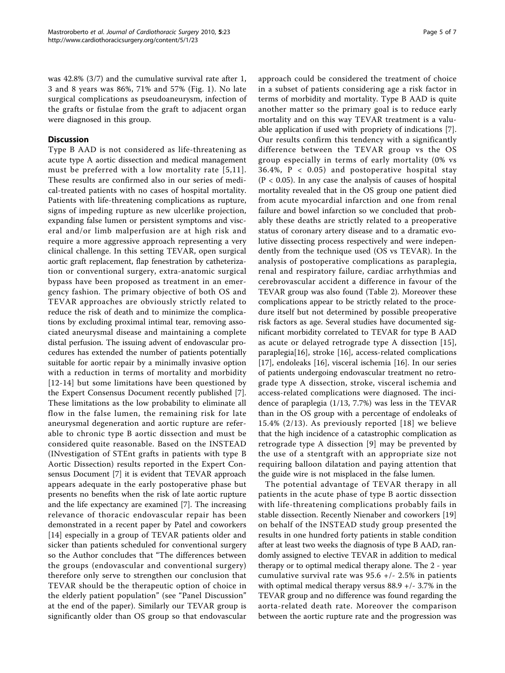was 42.8% (3/7) and the cumulative survival rate after 1, 3 and 8 years was 86%, 71% and 57% (Fig. [1\)](#page-3-0). No late surgical complications as pseudoaneurysm, infection of the grafts or fistulae from the graft to adjacent organ were diagnosed in this group.

# Discussion

Type B AAD is not considered as life-threatening as acute type A aortic dissection and medical management must be preferred with a low mortality rate [[5](#page-6-0),[11\]](#page-6-0). These results are confirmed also in our series of medical-treated patients with no cases of hospital mortality. Patients with life-threatening complications as rupture, signs of impeding rupture as new ulcerlike projection, expanding false lumen or persistent symptoms and visceral and/or limb malperfusion are at high risk and require a more aggressive approach representing a very clinical challenge. In this setting TEVAR, open surgical aortic graft replacement, flap fenestration by catheterization or conventional surgery, extra-anatomic surgical bypass have been proposed as treatment in an emergency fashion. The primary objective of both OS and TEVAR approaches are obviously strictly related to reduce the risk of death and to minimize the complications by excluding proximal intimal tear, removing associated aneurysmal disease and maintaining a complete distal perfusion. The issuing advent of endovascular procedures has extended the number of patients potentially suitable for aortic repair by a minimally invasive option with a reduction in terms of mortality and morbidity [[12](#page-6-0)-[14](#page-6-0)] but some limitations have been questioned by the Expert Consensus Document recently published [\[7](#page-6-0)]. These limitations as the low probability to eliminate all flow in the false lumen, the remaining risk for late aneurysmal degeneration and aortic rupture are referable to chronic type B aortic dissection and must be considered quite reasonable. Based on the INSTEAD (INvestigation of STEnt grafts in patients with type B Aortic Dissection) results reported in the Expert Consensus Document [[7\]](#page-6-0) it is evident that TEVAR approach appears adequate in the early postoperative phase but presents no benefits when the risk of late aortic rupture and the life expectancy are examined [\[7](#page-6-0)]. The increasing relevance of thoracic endovascular repair has been demonstrated in a recent paper by Patel and coworkers [[14\]](#page-6-0) especially in a group of TEVAR patients older and sicker than patients scheduled for conventional surgery so the Author concludes that "The differences between the groups (endovascular and conventional surgery) therefore only serve to strengthen our conclusion that TEVAR should be the therapeutic option of choice in the elderly patient population" (see "Panel Discussion" at the end of the paper). Similarly our TEVAR group is significantly older than OS group so that endovascular approach could be considered the treatment of choice in a subset of patients considering age a risk factor in terms of morbidity and mortality. Type B AAD is quite another matter so the primary goal is to reduce early mortality and on this way TEVAR treatment is a valuable application if used with propriety of indications [\[7](#page-6-0)]. Our results confirm this tendency with a significantly difference between the TEVAR group vs the OS group especially in terms of early mortality (0% vs 36.4%,  $P < 0.05$ ) and postoperative hospital stay  $(P < 0.05)$ . In any case the analysis of causes of hospital mortality revealed that in the OS group one patient died from acute myocardial infarction and one from renal failure and bowel infarction so we concluded that probably these deaths are strictly related to a preoperative status of coronary artery disease and to a dramatic evolutive dissecting process respectively and were independently from the technique used (OS vs TEVAR). In the analysis of postoperative complications as paraplegia, renal and respiratory failure, cardiac arrhythmias and cerebrovascular accident a difference in favour of the TEVAR group was also found (Table [2\)](#page-2-0). Moreover these complications appear to be strictly related to the procedure itself but not determined by possible preoperative risk factors as age. Several studies have documented significant morbidity correlated to TEVAR for type B AAD as acute or delayed retrograde type A dissection [[15](#page-6-0)], paraplegia[\[16](#page-6-0)], stroke [[16](#page-6-0)], access-related complications [[17\]](#page-6-0), endoleaks [\[16](#page-6-0)], visceral ischemia [[16\]](#page-6-0). In our series of patients undergoing endovascular treatment no retrograde type A dissection, stroke, visceral ischemia and access-related complications were diagnosed. The incidence of paraplegia (1/13, 7.7%) was less in the TEVAR than in the OS group with a percentage of endoleaks of 15.4% (2/13). As previously reported [[18\]](#page-6-0) we believe that the high incidence of a catastrophic complication as retrograde type A dissection [[9\]](#page-6-0) may be prevented by the use of a stentgraft with an appropriate size not requiring balloon dilatation and paying attention that the guide wire is not misplaced in the false lumen.

The potential advantage of TEVAR therapy in all patients in the acute phase of type B aortic dissection with life-threatening complications probably fails in stable dissection. Recently Nienaber and coworkers [\[19](#page-6-0)] on behalf of the INSTEAD study group presented the results in one hundred forty patients in stable condition after at least two weeks the diagnosis of type B AAD, randomly assigned to elective TEVAR in addition to medical therapy or to optimal medical therapy alone. The 2 - year cumulative survival rate was  $95.6$  +/- 2.5% in patients with optimal medical therapy versus 88.9 +/- 3.7% in the TEVAR group and no difference was found regarding the aorta-related death rate. Moreover the comparison between the aortic rupture rate and the progression was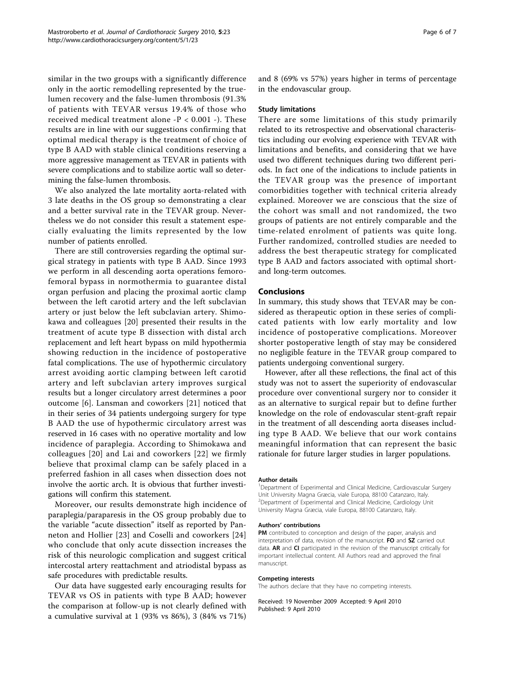similar in the two groups with a significantly difference only in the aortic remodelling represented by the truelumen recovery and the false-lumen thrombosis (91.3% of patients with TEVAR versus 19.4% of those who received medical treatment alone -P < 0.001 -). These results are in line with our suggestions confirming that optimal medical therapy is the treatment of choice of type B AAD with stable clinical conditions reserving a more aggressive management as TEVAR in patients with severe complications and to stabilize aortic wall so determining the false-lumen thrombosis.

We also analyzed the late mortality aorta-related with 3 late deaths in the OS group so demonstrating a clear and a better survival rate in the TEVAR group. Nevertheless we do not consider this result a statement especially evaluating the limits represented by the low number of patients enrolled.

There are still controversies regarding the optimal surgical strategy in patients with type B AAD. Since 1993 we perform in all descending aorta operations femorofemoral bypass in normothermia to guarantee distal organ perfusion and placing the proximal aortic clamp between the left carotid artery and the left subclavian artery or just below the left subclavian artery. Shimokawa and colleagues [[20](#page-6-0)] presented their results in the treatment of acute type B dissection with distal arch replacement and left heart bypass on mild hypothermia showing reduction in the incidence of postoperative fatal complications. The use of hypothermic circulatory arrest avoiding aortic clamping between left carotid artery and left subclavian artery improves surgical results but a longer circulatory arrest determines a poor outcome [[6\]](#page-6-0). Lansman and coworkers [[21](#page-6-0)] noticed that in their series of 34 patients undergoing surgery for type B AAD the use of hypothermic circulatory arrest was reserved in 16 cases with no operative mortality and low incidence of paraplegia. According to Shimokawa and colleagues [[20](#page-6-0)] and Lai and coworkers [[22\]](#page-6-0) we firmly believe that proximal clamp can be safely placed in a preferred fashion in all cases when dissection does not involve the aortic arch. It is obvious that further investigations will confirm this statement.

Moreover, our results demonstrate high incidence of paraplegia/paraparesis in the OS group probably due to the variable "acute dissection" itself as reported by Panneton and Hollier [[23\]](#page-6-0) and Coselli and coworkers [[24](#page-6-0)] who conclude that only acute dissection increases the risk of this neurologic complication and suggest critical intercostal artery reattachment and atriodistal bypass as safe procedures with predictable results.

Our data have suggested early encouraging results for TEVAR vs OS in patients with type B AAD; however the comparison at follow-up is not clearly defined with a cumulative survival at 1 (93% vs 86%), 3 (84% vs 71%) and 8 (69% vs 57%) years higher in terms of percentage in the endovascular group.

### Study limitations

There are some limitations of this study primarily related to its retrospective and observational characteristics including our evolving experience with TEVAR with limitations and benefits, and considering that we have used two different techniques during two different periods. In fact one of the indications to include patients in the TEVAR group was the presence of important comorbidities together with technical criteria already explained. Moreover we are conscious that the size of the cohort was small and not randomized, the two groups of patients are not entirely comparable and the time-related enrolment of patients was quite long. Further randomized, controlled studies are needed to address the best therapeutic strategy for complicated type B AAD and factors associated with optimal shortand long-term outcomes.

### Conclusions

In summary, this study shows that TEVAR may be considered as therapeutic option in these series of complicated patients with low early mortality and low incidence of postoperative complications. Moreover shorter postoperative length of stay may be considered no negligible feature in the TEVAR group compared to patients undergoing conventional surgery.

However, after all these reflections, the final act of this study was not to assert the superiority of endovascular procedure over conventional surgery nor to consider it as an alternative to surgical repair but to define further knowledge on the role of endovascular stent-graft repair in the treatment of all descending aorta diseases including type B AAD. We believe that our work contains meaningful information that can represent the basic rationale for future larger studies in larger populations.

### Author details

<sup>1</sup>Department of Experimental and Clinical Medicine, Cardiovascular Surgery Unit University Magna Græcia, viale Europa, 88100 Catanzaro, Italy. 2 Department of Experimental and Clinical Medicine, Cardiology Unit University Magna Græcia, viale Europa, 88100 Catanzaro, Italy.

### Authors' contributions

PM contributed to conception and design of the paper, analysis and interpretation of data, revision of the manuscript. FO and SZ carried out data. AR and CI participated in the revision of the manuscript critically for important intellectual content. All Authors read and approved the final manuscript.

### Competing interests

The authors declare that they have no competing interests.

Received: 19 November 2009 Accepted: 9 April 2010 Published: 9 April 2010